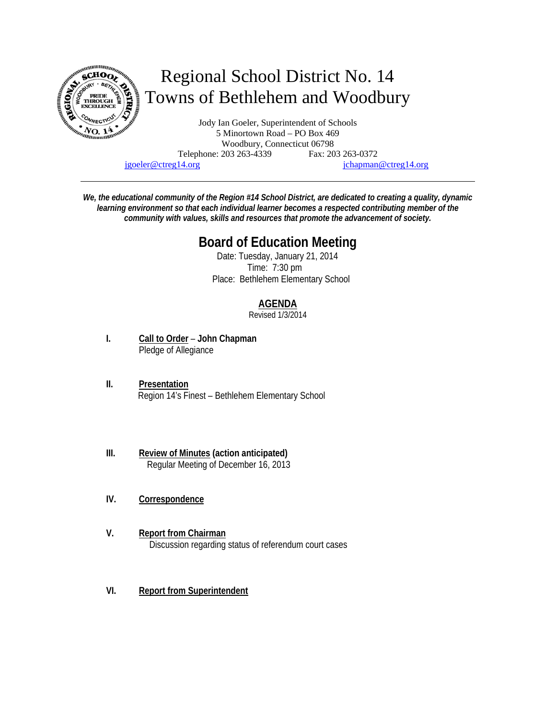

Telephone: 203 263-4339 Fax: 203 263-0372

jgoeler@ctreg14.org jchapman@ctreg14.org

*We, the educational community of the Region #14 School District, are dedicated to creating a quality, dynamic learning environment so that each individual learner becomes a respected contributing member of the community with values, skills and resources that promote the advancement of society.* 

# **Board of Education Meeting**

 Date: Tuesday, January 21, 2014 Time: 7:30 pm Place: Bethlehem Elementary School

# **AGENDA**

Revised 1/3/2014

- **I. Call to Order John Chapman** Pledge of Allegiance
- **II. Presentation** Region 14's Finest – Bethlehem Elementary School
- **III. Review of Minutes (action anticipated)** Regular Meeting of December 16, 2013
- **IV. Correspondence**
- **V. Report from Chairman**  Discussion regarding status of referendum court cases
- **VI. Report from Superintendent**